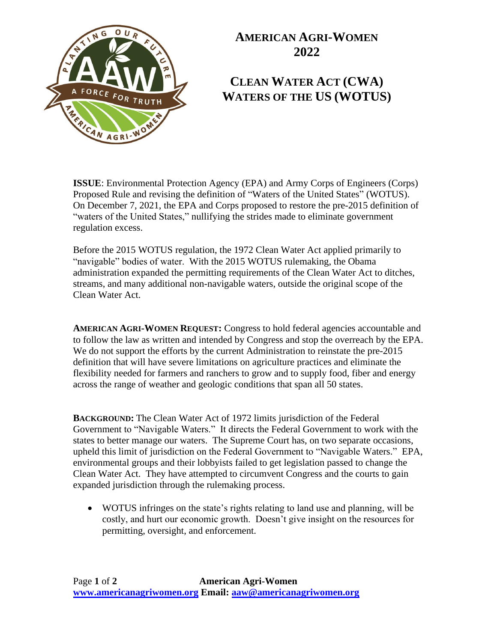

## **AMERICAN AGRI-WOMEN 2022**

## **CLEAN WATER ACT (CWA) WATERS OF THE US (WOTUS)**

**ISSUE**: Environmental Protection Agency (EPA) and Army Corps of Engineers (Corps) Proposed Rule and revising the definition of "Waters of the United States" (WOTUS). On December 7, 2021, the EPA and Corps proposed to restore the pre-2015 definition of "waters of the United States," nullifying the strides made to eliminate government regulation excess.

Before the 2015 WOTUS regulation, the 1972 Clean Water Act applied primarily to "navigable" bodies of water. With the 2015 WOTUS rulemaking, the Obama administration expanded the permitting requirements of the Clean Water Act to ditches, streams, and many additional non-navigable waters, outside the original scope of the Clean Water Act.

**AMERICAN AGRI-WOMEN REQUEST:** Congress to hold federal agencies accountable and to follow the law as written and intended by Congress and stop the overreach by the EPA. We do not support the efforts by the current Administration to reinstate the pre-2015 definition that will have severe limitations on agriculture practices and eliminate the flexibility needed for farmers and ranchers to grow and to supply food, fiber and energy across the range of weather and geologic conditions that span all 50 states.

**BACKGROUND:** The Clean Water Act of 1972 limits jurisdiction of the Federal Government to "Navigable Waters." It directs the Federal Government to work with the states to better manage our waters. The Supreme Court has, on two separate occasions, upheld this limit of jurisdiction on the Federal Government to "Navigable Waters." EPA, environmental groups and their lobbyists failed to get legislation passed to change the Clean Water Act. They have attempted to circumvent Congress and the courts to gain expanded jurisdiction through the rulemaking process.

• WOTUS infringes on the state's rights relating to land use and planning, will be costly, and hurt our economic growth. Doesn't give insight on the resources for permitting, oversight, and enforcement.